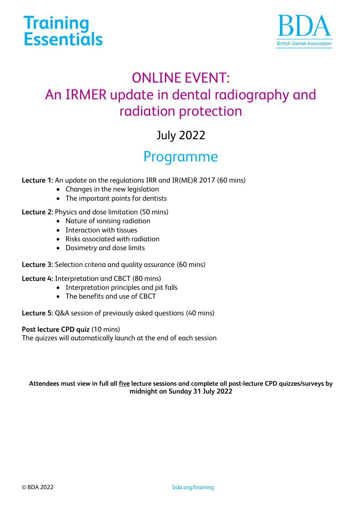



# ONLINE EVENT: An IRMER update in dental radiography and radiation protection

# July 2022

### Programme

**Lecture 1:** An update on the regulations IRR and IR(ME)R 2017 (60 mins)

- Changes in the new legislation
- The important points for dentists

### **Lecture 2:** Physics and dose limitation (50 mins)

- Nature of ionising radiation
- Interaction with tissues
- Risks associated with radiation
- Dosimetry and dose limits

### **Lecture 3:** Selection criteria and quality assurance (60 mins)

**Lecture 4:** Interpretation and CBCT (80 mins)

- Interpretation principles and pit falls
- The benefits and use of CBCT

**Lecture 5:** Q&A session of previously asked questions (40 mins)

#### **Post lecture CPD quiz** (10 mins)

The quizzes will automatically launch at the end of each session

#### **Attendees must view in full all five lecture sessions and complete all post-lecture CPD quizzes/surveys by midnight on Sunday 31 July 2022**